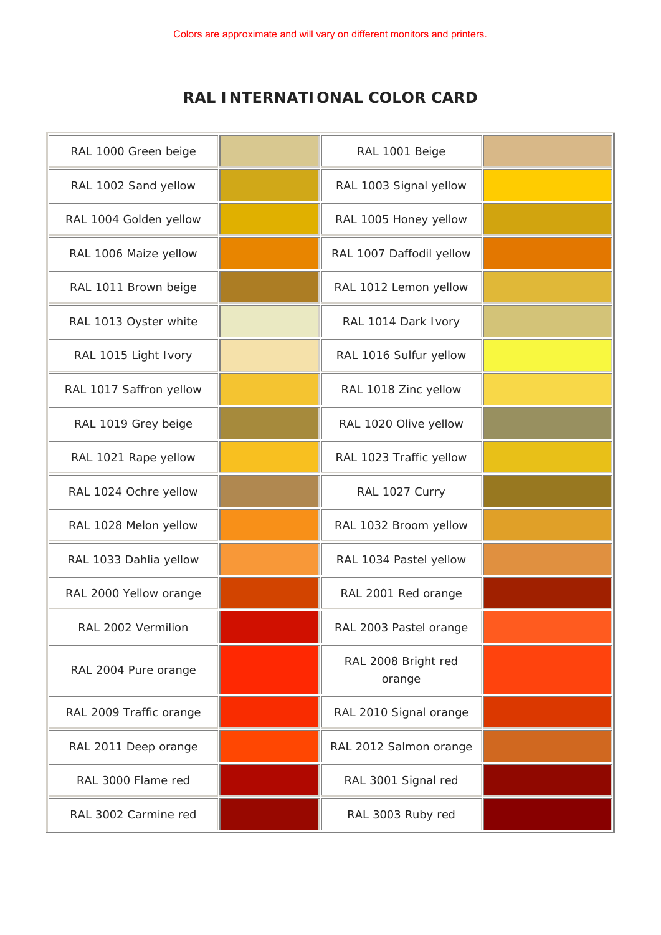## **RAL INTERNATIONAL COLOR CARD**

| RAL 1000 Green beige    | RAL 1001 Beige                |  |
|-------------------------|-------------------------------|--|
| RAL 1002 Sand yellow    | RAL 1003 Signal yellow        |  |
| RAL 1004 Golden yellow  | RAL 1005 Honey yellow         |  |
| RAL 1006 Maize yellow   | RAL 1007 Daffodil yellow      |  |
| RAL 1011 Brown beige    | RAL 1012 Lemon yellow         |  |
| RAL 1013 Oyster white   | RAL 1014 Dark Ivory           |  |
| RAL 1015 Light Ivory    | RAL 1016 Sulfur yellow        |  |
| RAL 1017 Saffron yellow | RAL 1018 Zinc yellow          |  |
| RAL 1019 Grey beige     | RAL 1020 Olive yellow         |  |
| RAL 1021 Rape yellow    | RAL 1023 Traffic yellow       |  |
| RAL 1024 Ochre yellow   | RAL 1027 Curry                |  |
| RAL 1028 Melon yellow   | RAL 1032 Broom yellow         |  |
| RAL 1033 Dahlia yellow  | RAL 1034 Pastel yellow        |  |
| RAL 2000 Yellow orange  | RAL 2001 Red orange           |  |
| RAL 2002 Vermilion      | RAL 2003 Pastel orange        |  |
| RAL 2004 Pure orange    | RAL 2008 Bright red<br>orange |  |
| RAL 2009 Traffic orange | RAL 2010 Signal orange        |  |
| RAL 2011 Deep orange    | RAL 2012 Salmon orange        |  |
| RAL 3000 Flame red      | RAL 3001 Signal red           |  |
| RAL 3002 Carmine red    | RAL 3003 Ruby red             |  |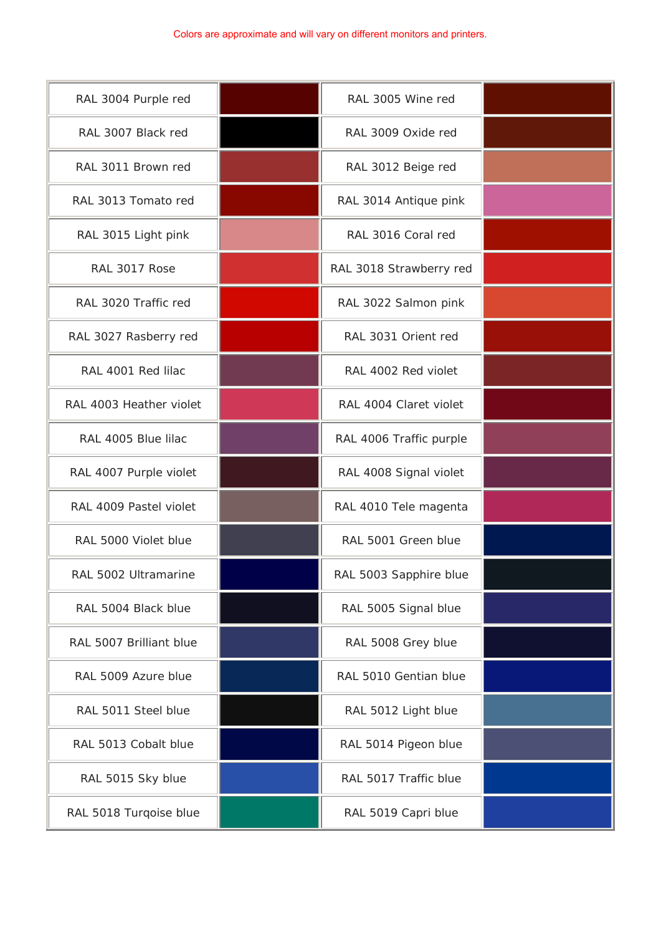## Colors are approximate and will vary on different monitors and printers.

| RAL 3004 Purple red     | RAL 3005 Wine red       |  |
|-------------------------|-------------------------|--|
| RAL 3007 Black red      | RAL 3009 Oxide red      |  |
| RAL 3011 Brown red      | RAL 3012 Beige red      |  |
| RAL 3013 Tomato red     | RAL 3014 Antique pink   |  |
| RAL 3015 Light pink     | RAL 3016 Coral red      |  |
| RAL 3017 Rose           | RAL 3018 Strawberry red |  |
| RAL 3020 Traffic red    | RAL 3022 Salmon pink    |  |
| RAL 3027 Rasberry red   | RAL 3031 Orient red     |  |
| RAL 4001 Red Iilac      | RAL 4002 Red violet     |  |
| RAL 4003 Heather violet | RAL 4004 Claret violet  |  |
| RAL 4005 Blue lilac     | RAL 4006 Traffic purple |  |
| RAL 4007 Purple violet  | RAL 4008 Signal violet  |  |
| RAL 4009 Pastel violet  | RAL 4010 Tele magenta   |  |
| RAL 5000 Violet blue    | RAL 5001 Green blue     |  |
| RAL 5002 Ultramarine    | RAL 5003 Sapphire blue  |  |
| RAL 5004 Black blue     | RAL 5005 Signal blue    |  |
| RAL 5007 Brilliant blue | RAL 5008 Grey blue      |  |
| RAL 5009 Azure blue     | RAL 5010 Gentian blue   |  |
| RAL 5011 Steel blue     | RAL 5012 Light blue     |  |
| RAL 5013 Cobalt blue    | RAL 5014 Pigeon blue    |  |
| RAL 5015 Sky blue       | RAL 5017 Traffic blue   |  |
| RAL 5018 Turqoise blue  | RAL 5019 Capri blue     |  |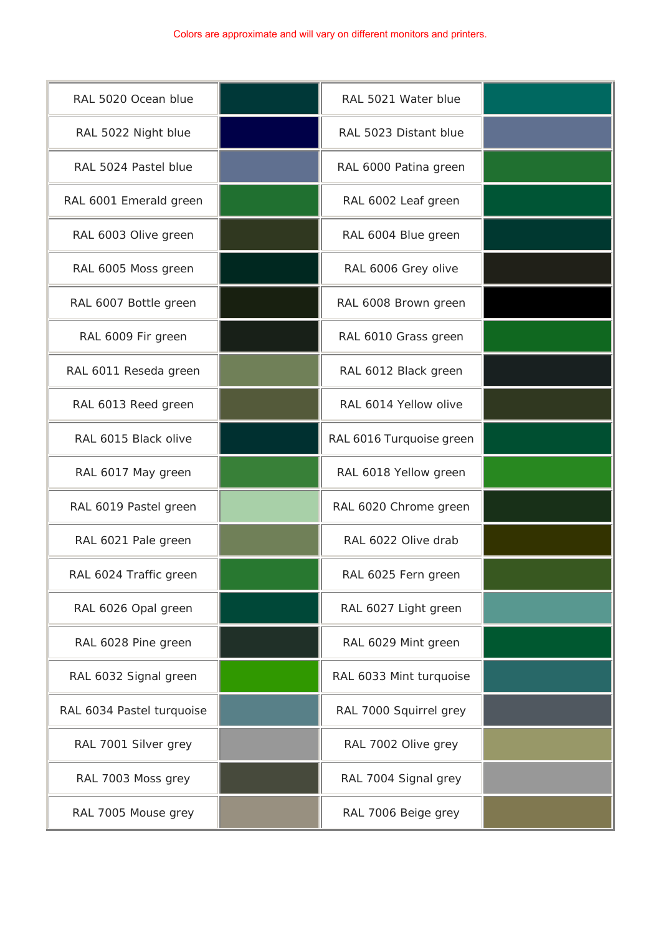| RAL 5020 Ocean blue       | RAL 5021 Water blue      |  |
|---------------------------|--------------------------|--|
| RAL 5022 Night blue       | RAL 5023 Distant blue    |  |
| RAL 5024 Pastel blue      | RAL 6000 Patina green    |  |
| RAL 6001 Emerald green    | RAL 6002 Leaf green      |  |
| RAL 6003 Olive green      | RAL 6004 Blue green      |  |
| RAL 6005 Moss green       | RAL 6006 Grey olive      |  |
| RAL 6007 Bottle green     | RAL 6008 Brown green     |  |
| RAL 6009 Fir green        | RAL 6010 Grass green     |  |
| RAL 6011 Reseda green     | RAL 6012 Black green     |  |
| RAL 6013 Reed green       | RAL 6014 Yellow olive    |  |
| RAL 6015 Black olive      | RAL 6016 Turquoise green |  |
| RAL 6017 May green        | RAL 6018 Yellow green    |  |
| RAL 6019 Pastel green     | RAL 6020 Chrome green    |  |
| RAL 6021 Pale green       | RAL 6022 Olive drab      |  |
| RAL 6024 Traffic green    | RAL 6025 Fern green      |  |
| RAL 6026 Opal green       | RAL 6027 Light green     |  |
| RAL 6028 Pine green       | RAL 6029 Mint green      |  |
| RAL 6032 Signal green     | RAL 6033 Mint turquoise  |  |
| RAL 6034 Pastel turquoise | RAL 7000 Squirrel grey   |  |
| RAL 7001 Silver grey      | RAL 7002 Olive grey      |  |
| RAL 7003 Moss grey        | RAL 7004 Signal grey     |  |
| RAL 7005 Mouse grey       | RAL 7006 Beige grey      |  |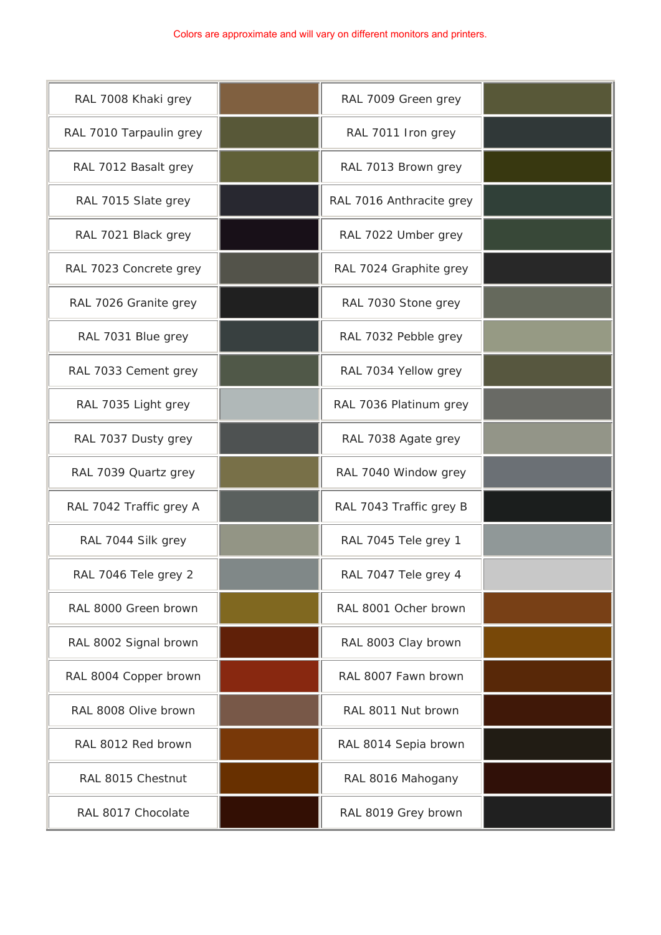## Colors are approximate and will vary on different monitors and printers.

| RAL 7008 Khaki grey     | RAL 7009 Green grey      |  |
|-------------------------|--------------------------|--|
| RAL 7010 Tarpaulin grey | RAL 7011 Iron grey       |  |
| RAL 7012 Basalt grey    | RAL 7013 Brown grey      |  |
| RAL 7015 Slate grey     | RAL 7016 Anthracite grey |  |
| RAL 7021 Black grey     | RAL 7022 Umber grey      |  |
| RAL 7023 Concrete grey  | RAL 7024 Graphite grey   |  |
| RAL 7026 Granite grey   | RAL 7030 Stone grey      |  |
| RAL 7031 Blue grey      | RAL 7032 Pebble grey     |  |
| RAL 7033 Cement grey    | RAL 7034 Yellow grey     |  |
| RAL 7035 Light grey     | RAL 7036 Platinum grey   |  |
| RAL 7037 Dusty grey     | RAL 7038 Agate grey      |  |
| RAL 7039 Quartz grey    | RAL 7040 Window grey     |  |
| RAL 7042 Traffic grey A | RAL 7043 Traffic grey B  |  |
| RAL 7044 Silk grey      | RAL 7045 Tele grey 1     |  |
| RAL 7046 Tele grey 2    | RAL 7047 Tele grey 4     |  |
| RAL 8000 Green brown    | RAL 8001 Ocher brown     |  |
| RAL 8002 Signal brown   | RAL 8003 Clay brown      |  |
| RAL 8004 Copper brown   | RAL 8007 Fawn brown      |  |
| RAL 8008 Olive brown    | RAL 8011 Nut brown       |  |
| RAL 8012 Red brown      | RAL 8014 Sepia brown     |  |
| RAL 8015 Chestnut       | RAL 8016 Mahogany        |  |
| RAL 8017 Chocolate      | RAL 8019 Grey brown      |  |